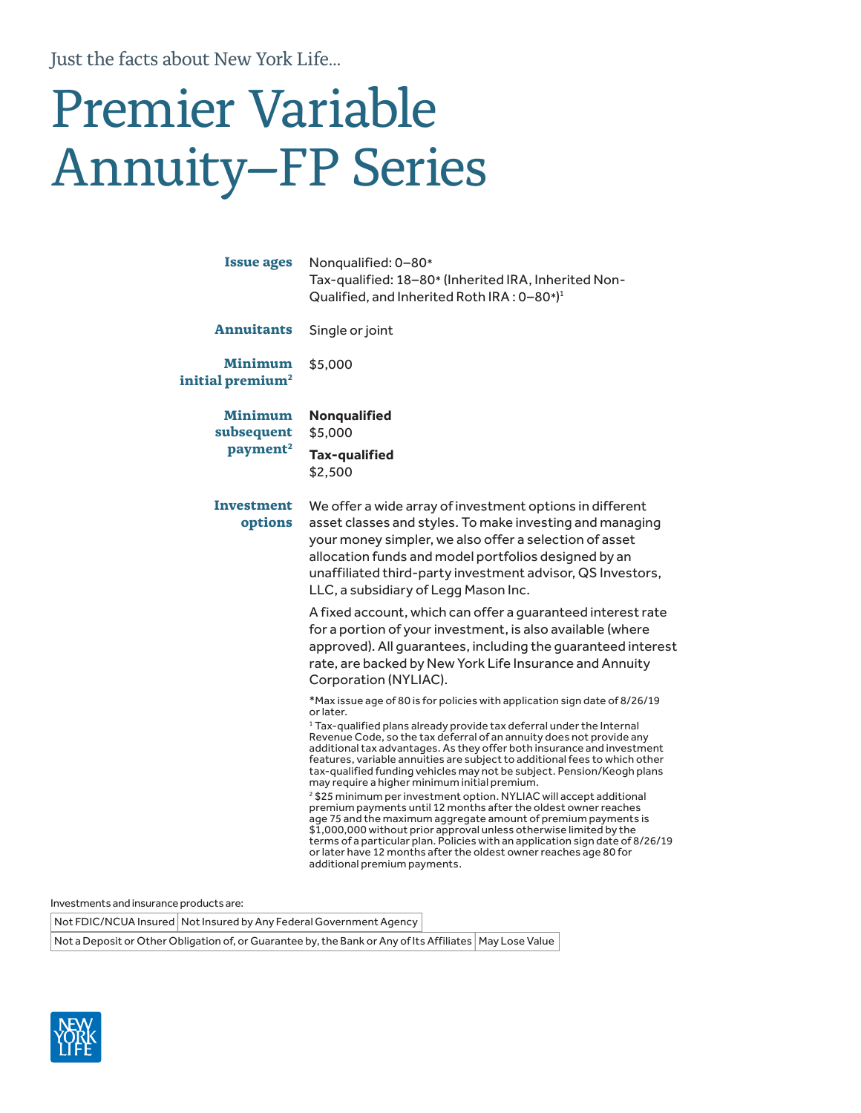Just the facts about New York Life...

# Premier Variable Annuity–FP Series

| <b>Issue ages</b>                              | Nonqualified: 0-80*<br>Tax-qualified: 18-80* (Inherited IRA, Inherited Non-<br>Qualified, and Inherited Roth IRA: 0-80*) <sup>1</sup>                                                                                                                                                                                                                                                                                                                                                                                                                                                                                                                                                                                                                                                                                                                                                                                                                                                                                     |  |  |  |
|------------------------------------------------|---------------------------------------------------------------------------------------------------------------------------------------------------------------------------------------------------------------------------------------------------------------------------------------------------------------------------------------------------------------------------------------------------------------------------------------------------------------------------------------------------------------------------------------------------------------------------------------------------------------------------------------------------------------------------------------------------------------------------------------------------------------------------------------------------------------------------------------------------------------------------------------------------------------------------------------------------------------------------------------------------------------------------|--|--|--|
| <b>Annuitants</b>                              | Single or joint                                                                                                                                                                                                                                                                                                                                                                                                                                                                                                                                                                                                                                                                                                                                                                                                                                                                                                                                                                                                           |  |  |  |
| <b>Minimum</b><br>initial premium <sup>2</sup> | \$5,000                                                                                                                                                                                                                                                                                                                                                                                                                                                                                                                                                                                                                                                                                                                                                                                                                                                                                                                                                                                                                   |  |  |  |
| Minimum<br>subsequent<br>payment <sup>2</sup>  | Nonqualified<br>\$5,000<br>Tax-qualified<br>\$2,500                                                                                                                                                                                                                                                                                                                                                                                                                                                                                                                                                                                                                                                                                                                                                                                                                                                                                                                                                                       |  |  |  |
| Investment<br>options                          | We offer a wide array of investment options in different<br>asset classes and styles. To make investing and managing<br>your money simpler, we also offer a selection of asset<br>allocation funds and model portfolios designed by an<br>unaffiliated third-party investment advisor, QS Investors,<br>LLC, a subsidiary of Legg Mason Inc.                                                                                                                                                                                                                                                                                                                                                                                                                                                                                                                                                                                                                                                                              |  |  |  |
|                                                | A fixed account, which can offer a guaranteed interest rate<br>for a portion of your investment, is also available (where<br>approved). All guarantees, including the guaranteed interest<br>rate, are backed by New York Life Insurance and Annuity<br>Corporation (NYLIAC).                                                                                                                                                                                                                                                                                                                                                                                                                                                                                                                                                                                                                                                                                                                                             |  |  |  |
|                                                | *Max issue age of 80 is for policies with application sign date of 8/26/19<br>or later.<br><sup>1</sup> Tax-qualified plans already provide tax deferral under the Internal<br>Revenue Code, so the tax deferral of an annuity does not provide any<br>additional tax advantages. As they offer both insurance and investment<br>features, variable annuities are subject to additional fees to which other<br>tax-qualified funding vehicles may not be subject. Pension/Keogh plans<br>may require a higher minimum initial premium.<br><sup>2</sup> \$25 minimum per investment option. NYLIAC will accept additional<br>premium payments until 12 months after the oldest owner reaches<br>age 75 and the maximum aggregate amount of premium payments is<br>\$1,000,000 without prior approval unless otherwise limited by the<br>terms of a particular plan. Policies with an application sign date of 8/26/19<br>or later have 12 months after the oldest owner reaches age 80 for<br>additional premium payments. |  |  |  |

Investments and insurance products are:

Not FDIC/NCUA Insured | Not Insured by Any Federal Government Agency

Not a Deposit or Other Obligation of, or Guarantee by, the Bank or Any of Its Affiliates | May Lose Value

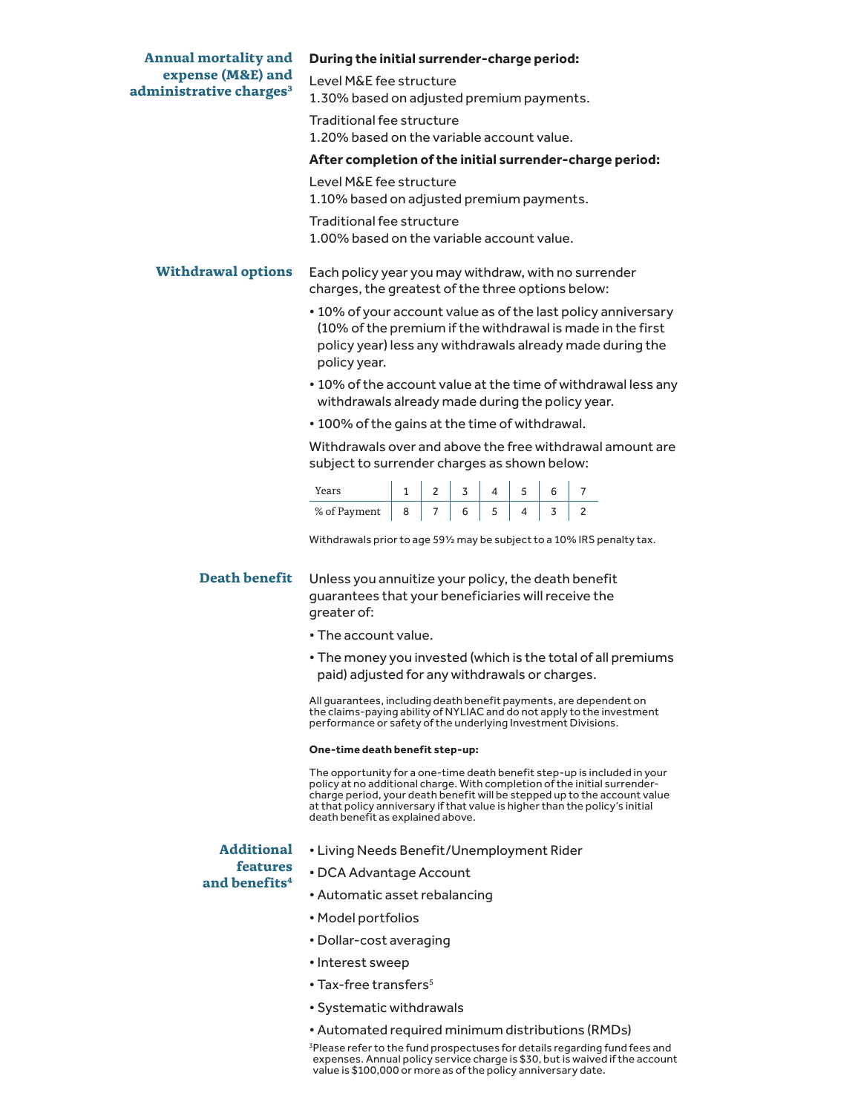| <b>Annual mortality and</b><br>expense (M&E) and<br>administrative charges <sup>3</sup> | During the initial surrender-charge period:                                                                                                                                                                   |  |  |  |  |  |  |                                                                                                                                                       |
|-----------------------------------------------------------------------------------------|---------------------------------------------------------------------------------------------------------------------------------------------------------------------------------------------------------------|--|--|--|--|--|--|-------------------------------------------------------------------------------------------------------------------------------------------------------|
|                                                                                         | Level M&E fee structure<br>1.30% based on adjusted premium payments.                                                                                                                                          |  |  |  |  |  |  |                                                                                                                                                       |
|                                                                                         | <b>Traditional fee structure</b>                                                                                                                                                                              |  |  |  |  |  |  |                                                                                                                                                       |
|                                                                                         | 1.20% based on the variable account value.                                                                                                                                                                    |  |  |  |  |  |  |                                                                                                                                                       |
|                                                                                         | After completion of the initial surrender-charge period:                                                                                                                                                      |  |  |  |  |  |  |                                                                                                                                                       |
|                                                                                         | Level M&E fee structure<br>1.10% based on adjusted premium payments.                                                                                                                                          |  |  |  |  |  |  |                                                                                                                                                       |
|                                                                                         | Traditional fee structure<br>1.00% based on the variable account value.                                                                                                                                       |  |  |  |  |  |  |                                                                                                                                                       |
| <b>Withdrawal options</b>                                                               | Each policy year you may withdraw, with no surrender<br>charges, the greatest of the three options below:                                                                                                     |  |  |  |  |  |  |                                                                                                                                                       |
|                                                                                         | • 10% of your account value as of the last policy anniversary<br>(10% of the premium if the withdrawal is made in the first<br>policy year) less any withdrawals already made during the<br>policy year.      |  |  |  |  |  |  |                                                                                                                                                       |
|                                                                                         | withdrawals already made during the policy year.                                                                                                                                                              |  |  |  |  |  |  | • 10% of the account value at the time of withdrawal less any                                                                                         |
|                                                                                         | • 100% of the gains at the time of withdrawal.                                                                                                                                                                |  |  |  |  |  |  |                                                                                                                                                       |
|                                                                                         | Withdrawals over and above the free withdrawal amount are<br>subject to surrender charges as shown below:                                                                                                     |  |  |  |  |  |  |                                                                                                                                                       |
|                                                                                         |                                                                                                                                                                                                               |  |  |  |  |  |  |                                                                                                                                                       |
|                                                                                         | Years 1 2 3 4 5 6 7<br>% of Payment 8 7 6 5 4 3 2                                                                                                                                                             |  |  |  |  |  |  |                                                                                                                                                       |
|                                                                                         |                                                                                                                                                                                                               |  |  |  |  |  |  | Withdrawals prior to age 591/2 may be subject to a 10% IRS penalty tax.                                                                               |
| <b>Death benefit</b>                                                                    | Unless you annuitize your policy, the death benefit<br>guarantees that your beneficiaries will receive the<br>greater of:                                                                                     |  |  |  |  |  |  |                                                                                                                                                       |
|                                                                                         | • The account value.                                                                                                                                                                                          |  |  |  |  |  |  |                                                                                                                                                       |
|                                                                                         | . The money you invested (which is the total of all premiums<br>paid) adjusted for any withdrawals or charges.                                                                                                |  |  |  |  |  |  |                                                                                                                                                       |
|                                                                                         | All guarantees, including death benefit payments, are dependent on<br>the claims-paying ability of NYLIAC and do not apply to the investment<br>performance or safety of the underlying Investment Divisions. |  |  |  |  |  |  |                                                                                                                                                       |
|                                                                                         | One-time death benefit step-up:                                                                                                                                                                               |  |  |  |  |  |  |                                                                                                                                                       |
|                                                                                         |                                                                                                                                                                                                               |  |  |  |  |  |  | The opportunity for a one-time death benefit step-up is included in your<br>policy at no additional charge. With completion of the initial surrender- |

charge period, your death benefit will be stepped up to the account value at that policy anniversary if that value is higher than the policy's initial death benefit as explained above.

## **Additional features and benefits4**

- Living Needs Benefit/Unemployment Rider
- DCA Advantage Account
- Automatic asset rebalancing
- Model portfolios
- Dollar-cost averaging
- Interest sweep
- $\cdot$  Tax-free transfers<sup>5</sup>
- Systematic withdrawals
- Automated required minimum distributions (RMDs)

<sup>3</sup>Please refer to the fund prospectuses for details regarding fund fees and expenses. Annual policy service charge is \$30, but is waived if the account value is \$100,000 or more as of the policy anniversary date.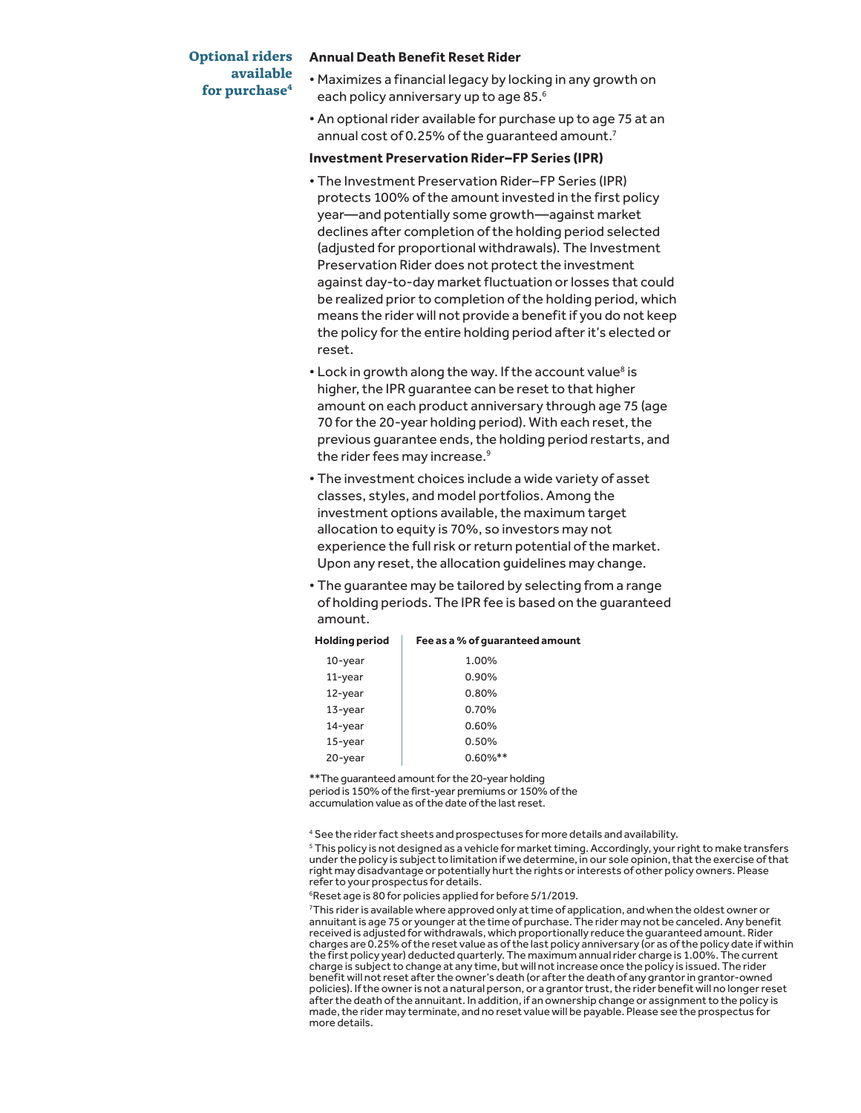### **Optional riders available for purchase4**

#### **Annual Death Benefit Reset Rider**

- Maximizes a financial legacy by locking in any growth on each policy anniversary up to age 85.<sup>6</sup>
- An optional rider available for purchase up to age 75 at an annual cost of 0.25% of the quaranteed amount.<sup>7</sup>

### **Investment Preservation Rider–FP Series (IPR)**

- The Investment Preservation Rider–FP Series (IPR) protects 100% of the amount invested in the first policy year—and potentially some growth—against market declines after completion of the holding period selected (adjusted for proportional withdrawals). The Investment Preservation Rider does not protect the investment against day-to-day market fluctuation or losses that could be realized prior to completion of the holding period, which means the rider will not provide a benefit if you do not keep the policy for the entire holding period after it's elected or reset.
- Lock in growth along the way. If the account value<sup>8</sup> is higher, the IPR guarantee can be reset to that higher amount on each product anniversary through age 75 (age 70 for the 20-year holding period). With each reset, the previous guarantee ends, the holding period restarts, and the rider fees may increase.<sup>9</sup>
- The investment choices include a wide variety of asset classes, styles, and model portfolios. Among the investment options available, the maximum target allocation to equity is 70%, so investors may not experience the full risk or return potential of the market. Upon any reset, the allocation guidelines may change.
- The guarantee may be tailored by selecting from a range of holding periods. The IPR fee is based on the guaranteed amount.

| <b>Holding period</b> | Fee as a % of guaranteed amount |  |  |  |  |  |
|-----------------------|---------------------------------|--|--|--|--|--|
| 10-year               | 1.00%                           |  |  |  |  |  |
| $11$ -year            | 0.90%                           |  |  |  |  |  |
| 12-year               | 0.80%                           |  |  |  |  |  |
| $13$ -year            | 0.70%                           |  |  |  |  |  |
| $14$ -year            | 0.60%                           |  |  |  |  |  |
| $15$ -year            | 0.50%                           |  |  |  |  |  |
| 20-year               | $0.60\%$ **                     |  |  |  |  |  |

\*\*The guaranteed amount for the 20-year holding period is 150% of the first-year premiums or 150% of the .<br>accumulation value as of the date of the last reset.

<sup>4</sup> See the rider fact sheets and prospectuses for more details and availability.

 $^{\rm 5}$  This policy is not designed as a vehicle for market timing. Accordingly, your right to make transfers under the policy is subject to limitation if we determine, in our sole opinion, that the exercise of that right may disadvantage or potentially hurt the rights or interests of other policy owners. Please refer to your prospectus for details.

6 Reset age is 80 for policies applied for before 5/1/2019.

7 This rider is available where approved only at time of application, and when the oldest owner or annuitant is age 75 or younger at the time of purchase. The rider may not be canceled. Any benefit received is adjusted for withdrawals, which proportionally reduce the guaranteed amount. Rider charges are 0.25% of the reset value as of the last policy anniversary (or as of the policy date if within the first policy year) deducted quarterly. The maximum annual rider charge is 1.00%. The current charge is subject to change at any time, but will not increase once the policy is issued. The rider benefit will not reset after the owner's death (or after the death of any grantor in grantor-owned policies). If the owner is not a natural person, or a grantor trust, the rider benefit will no longer reset after the death of the annuitant. In addition, if an ownership change or assignment to the policy is made, the rider may terminate, and no reset value will be payable. Please see the prospectus for more details.